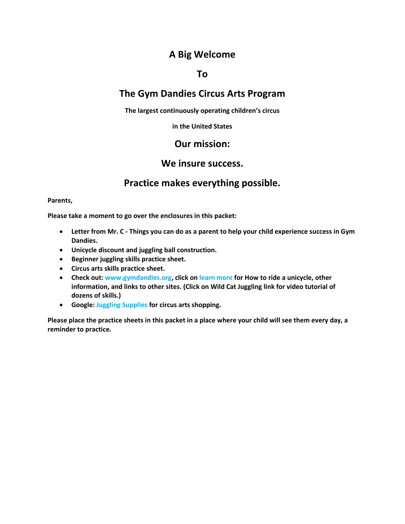# **A Big Welcome**

## **To**

# **The Gym Dandies Circus Arts Program**

**The largest continuously operating children's circus**

**in the United States**

## **Our mission:**

## **We insure success.**

## **Practice makes everything possible.**

#### **Parents,**

**Please take a moment to go over the enclosures in this packet:**

- **Letter from Mr. C Things you can do as a parent to help your child experience success in Gym Dandies.**
- **Unicycle discount and juggling ball construction.**
- **Beginner juggling skills practice sheet.**
- **Circus arts skills practice sheet.**
- **Check out: www.gymdandies.org, click on learn more for How to ride a unicycle, other information, and links to other sites. (Click on Wild Cat Juggling link for video tutorial of dozens of skills.)**
- **Google: Juggling Supplies for circus arts shopping.**

**Please place the practice sheets in this packet in a place where your child will see them every day, a reminder to practice.**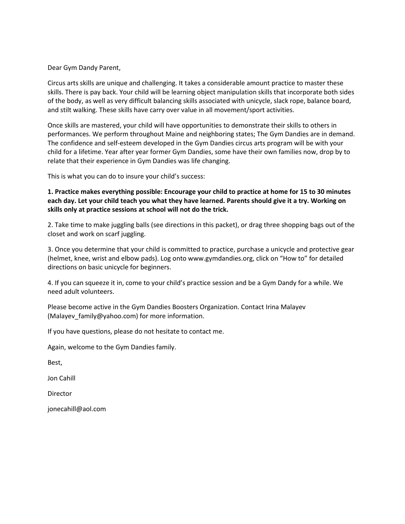Dear Gym Dandy Parent,

Circus arts skills are unique and challenging. It takes a considerable amount practice to master these skills. There is pay back. Your child will be learning object manipulation skills that incorporate both sides of the body, as well as very difficult balancing skills associated with unicycle, slack rope, balance board, and stilt walking. These skills have carry over value in all movement/sport activities.

Once skills are mastered, your child will have opportunities to demonstrate their skills to others in performances. We perform throughout Maine and neighboring states; The Gym Dandies are in demand. The confidence and self-esteem developed in the Gym Dandies circus arts program will be with your child for a lifetime. Year after year former Gym Dandies, some have their own families now, drop by to relate that their experience in Gym Dandies was life changing.

This is what you can do to insure your child's success:

**1. Practice makes everything possible: Encourage your child to practice at home for 15 to 30 minutes each day. Let your child teach you what they have learned. Parents should give it a try. Working on skills only at practice sessions at school will not do the trick.**

2. Take time to make juggling balls (see directions in this packet), or drag three shopping bags out of the closet and work on scarf juggling.

3. Once you determine that your child is committed to practice, purchase a unicycle and protective gear (helmet, knee, wrist and elbow pads). Log onto www.gymdandies.org, click on "How to" for detailed directions on basic unicycle for beginners.

4. If you can squeeze it in, come to your child's practice session and be a Gym Dandy for a while. We need adult volunteers.

Please become active in the Gym Dandies Boosters Organization. Contact Irina Malayev (Malayev\_family@yahoo.com) for more information.

If you have questions, please do not hesitate to contact me.

Again, welcome to the Gym Dandies family.

Best,

Jon Cahill

Director

jonecahill@aol.com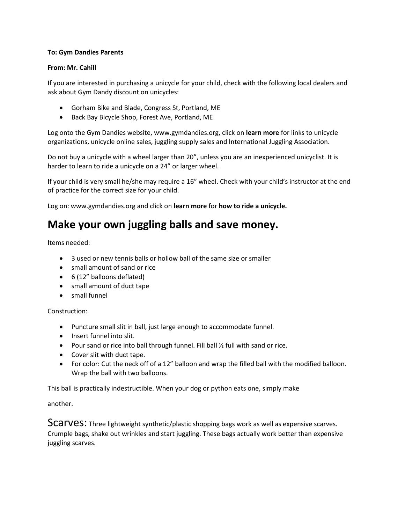#### **To: Gym Dandies Parents**

#### **From: Mr. Cahill**

If you are interested in purchasing a unicycle for your child, check with the following local dealers and ask about Gym Dandy discount on unicycles:

- Gorham Bike and Blade, Congress St, Portland, ME
- Back Bay Bicycle Shop, Forest Ave, Portland, ME

Log onto the Gym Dandies website, www.gymdandies.org, click on **learn more** for links to unicycle organizations, unicycle online sales, juggling supply sales and International Juggling Association.

Do not buy a unicycle with a wheel larger than 20", unless you are an inexperienced unicyclist. It is harder to learn to ride a unicycle on a 24" or larger wheel.

If your child is very small he/she may require a 16" wheel. Check with your child's instructor at the end of practice for the correct size for your child.

Log on: www.gymdandies.org and click on **learn more** for **how to ride a unicycle.**

# **Make your own juggling balls and save money.**

Items needed:

- 3 used or new tennis balls or hollow ball of the same size or smaller
- small amount of sand or rice
- 6 (12" balloons deflated)
- small amount of duct tape
- small funnel

Construction:

- Puncture small slit in ball, just large enough to accommodate funnel.
- Insert funnel into slit.
- Pour sand or rice into ball through funnel. Fill ball ½ full with sand or rice.
- Cover slit with duct tape.
- For color: Cut the neck off of a 12" balloon and wrap the filled ball with the modified balloon. Wrap the ball with two balloons.

This ball is practically indestructible. When your dog or python eats one, simply make

another.

SCATVES: Three lightweight synthetic/plastic shopping bags work as well as expensive scarves. Crumple bags, shake out wrinkles and start juggling. These bags actually work better than expensive juggling scarves.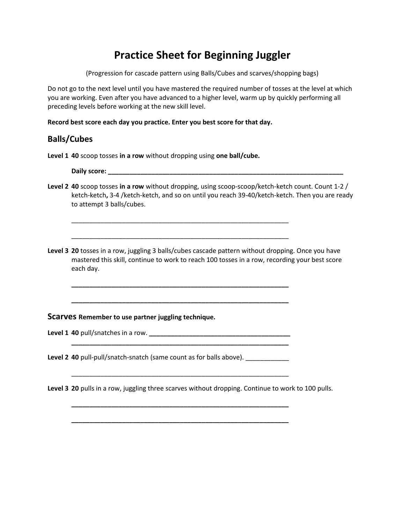# **Practice Sheet for Beginning Juggler**

(Progression for cascade pattern using Balls/Cubes and scarves/shopping bags)

Do not go to the next level until you have mastered the required number of tosses at the level at which you are working. Even after you have advanced to a higher level, warm up by quickly performing all preceding levels before working at the new skill level.

**Record best score each day you practice. Enter you best score for that day.**

### **Balls/Cubes**

**Level 1 40** scoop tosses **in a row** without dropping using **one ball/cube.**

**Daily score: \_\_\_\_\_\_\_\_\_\_\_\_\_\_\_\_\_\_\_\_\_\_\_\_\_\_\_\_\_\_\_\_\_\_\_\_\_\_\_\_\_\_\_\_\_\_\_\_\_\_\_\_\_\_\_\_\_\_\_\_\_\_\_\_\_**

- **Level 2 40** scoop tosses **in a row** without dropping, using scoop-scoop/ketch-ketch count. Count 1-2 / ketch-ketch**,** 3-4 /ketch-ketch, and so on until you reach 39-40/ketch-ketch. Then you are ready to attempt 3 balls/cubes.
- Level 3 20 tosses in a row, juggling 3 balls/cubes cascade pattern without dropping. Once you have mastered this skill, continue to work to reach 100 tosses in a row, recording your best score each day.

\_\_\_\_\_\_\_\_\_\_\_\_\_\_\_\_\_\_\_\_\_\_\_\_\_\_\_\_\_\_\_\_\_\_\_\_\_\_\_\_\_\_\_\_\_\_\_\_\_\_\_\_\_\_\_\_\_\_\_\_

\_\_\_\_\_\_\_\_\_\_\_\_\_\_\_\_\_\_\_\_\_\_\_\_\_\_\_\_\_\_\_\_\_\_\_\_\_\_\_\_\_\_\_\_\_\_\_\_\_\_\_\_\_\_\_\_\_\_\_\_

**\_\_\_\_\_\_\_\_\_\_\_\_\_\_\_\_\_\_\_\_\_\_\_\_\_\_\_\_\_\_\_\_\_\_\_\_\_\_\_\_\_\_\_\_\_\_\_\_\_\_\_\_\_\_\_\_\_\_\_\_**

**\_\_\_\_\_\_\_\_\_\_\_\_\_\_\_\_\_\_\_\_\_\_\_\_\_\_\_\_\_\_\_\_\_\_\_\_\_\_\_\_\_\_\_\_\_\_\_\_\_\_\_\_\_\_\_\_\_\_\_\_**

**\_\_\_\_\_\_\_\_\_\_\_\_\_\_\_\_\_\_\_\_\_\_\_\_\_\_\_\_\_\_\_\_\_\_\_\_\_\_\_\_\_\_\_\_\_\_\_\_\_\_\_\_\_\_\_\_\_\_\_\_**

\_\_\_\_\_\_\_\_\_\_\_\_\_\_\_\_\_\_\_\_\_\_\_\_\_\_\_\_\_\_\_\_\_\_\_\_\_\_\_\_\_\_\_\_\_\_\_\_\_\_\_\_\_\_\_\_\_\_\_\_

**\_\_\_\_\_\_\_\_\_\_\_\_\_\_\_\_\_\_\_\_\_\_\_\_\_\_\_\_\_\_\_\_\_\_\_\_\_\_\_\_\_\_\_\_\_\_\_\_\_\_\_\_\_\_\_\_\_\_\_\_**

**\_\_\_\_\_\_\_\_\_\_\_\_\_\_\_\_\_\_\_\_\_\_\_\_\_\_\_\_\_\_\_\_\_\_\_\_\_\_\_\_\_\_\_\_\_\_\_\_\_\_\_\_\_\_\_\_\_\_\_\_**

#### **Scarves Remember to use partner juggling technique.**

Level 1 40 pull/snatches in a row.

**Level 2 40** pull-pull/snatch-snatch (same count as for balls above).

**Level 3 20** pulls in a row, juggling three scarves without dropping. Continue to work to 100 pulls.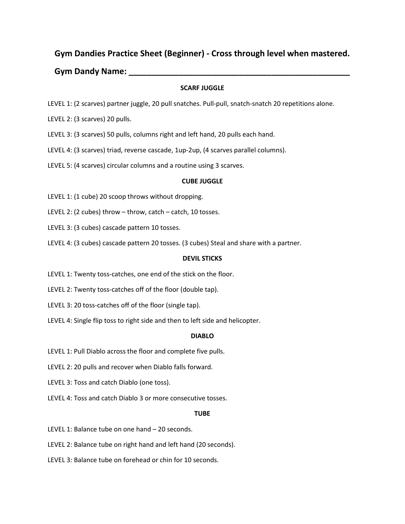### **Gym Dandies Practice Sheet (Beginner) - Cross through level when mastered.**

#### **Gym Dandy Name: \_\_\_\_\_\_\_\_\_\_\_\_\_\_\_\_\_\_\_\_\_\_\_\_\_\_\_\_\_\_\_\_\_\_\_\_\_\_\_\_\_\_\_\_\_\_\_\_**

#### **SCARF JUGGLE**

- LEVEL 1: (2 scarves) partner juggle, 20 pull snatches. Pull-pull, snatch-snatch 20 repetitions alone.
- LEVEL 2: (3 scarves) 20 pulls.
- LEVEL 3: (3 scarves) 50 pulls, columns right and left hand, 20 pulls each hand.
- LEVEL 4: (3 scarves) triad, reverse cascade, 1up-2up, (4 scarves parallel columns).
- LEVEL 5: (4 scarves) circular columns and a routine using 3 scarves.

#### **CUBE JUGGLE**

- LEVEL 1: (1 cube) 20 scoop throws without dropping.
- LEVEL 2: (2 cubes) throw throw, catch catch, 10 tosses.
- LEVEL 3: (3 cubes) cascade pattern 10 tosses.
- LEVEL 4: (3 cubes) cascade pattern 20 tosses. (3 cubes) Steal and share with a partner.

#### **DEVIL STICKS**

- LEVEL 1: Twenty toss-catches, one end of the stick on the floor.
- LEVEL 2: Twenty toss-catches off of the floor (double tap).
- LEVEL 3: 20 toss-catches off of the floor (single tap).
- LEVEL 4: Single flip toss to right side and then to left side and helicopter.

#### **DIABLO**

- LEVEL 1: Pull Diablo across the floor and complete five pulls.
- LEVEL 2: 20 pulls and recover when Diablo falls forward.
- LEVEL 3: Toss and catch Diablo (one toss).
- LEVEL 4: Toss and catch Diablo 3 or more consecutive tosses.

#### **TUBE**

- LEVEL 1: Balance tube on one hand 20 seconds.
- LEVEL 2: Balance tube on right hand and left hand (20 seconds).
- LEVEL 3: Balance tube on forehead or chin for 10 seconds.